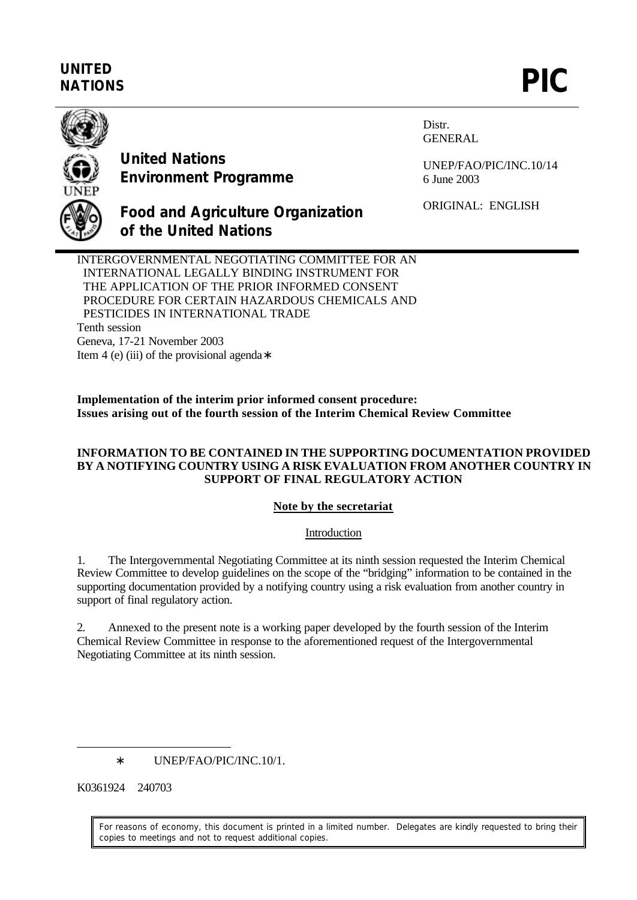# **UNITED** UNITED<br>NATIONS **PIC**



**United Nations Environment Programme** Distr. GENERAL

UNEP/FAO/PIC/INC.10/14 6 June 2003

ORIGINAL: ENGLISH

**Food and Agriculture Organization of the United Nations**

INTERGOVERNMENTAL NEGOTIATING COMMITTEE FOR AN INTERNATIONAL LEGALLY BINDING INSTRUMENT FOR THE APPLICATION OF THE PRIOR INFORMED CONSENT PROCEDURE FOR CERTAIN HAZARDOUS CHEMICALS AND PESTICIDES IN INTERNATIONAL TRADE Tenth session Geneva, 17-21 November 2003 Item 4 (e) (iii) of the provisional agenda∗

**Implementation of the interim prior informed consent procedure: Issues arising out of the fourth session of the Interim Chemical Review Committee**

#### **INFORMATION TO BE CONTAINED IN THE SUPPORTING DOCUMENTATION PROVIDED BY A NOTIFYING COUNTRY USING A RISK EVALUATION FROM ANOTHER COUNTRY IN SUPPORT OF FINAL REGULATORY ACTION**

### **Note by the secretariat**

### Introduction

1. The Intergovernmental Negotiating Committee at its ninth session requested the Interim Chemical Review Committee to develop guidelines on the scope of the "bridging" information to be contained in the supporting documentation provided by a notifying country using a risk evaluation from another country in support of final regulatory action.

2. Annexed to the present note is a working paper developed by the fourth session of the Interim Chemical Review Committee in response to the aforementioned request of the Intergovernmental Negotiating Committee at its ninth session.

K0361924 240703

 $\overline{a}$ 

For reasons of economy, this document is printed in a limited number. Delegates are kindly requested to bring their copies to meetings and not to request additional copies.

<sup>∗</sup> UNEP/FAO/PIC/INC.10/1.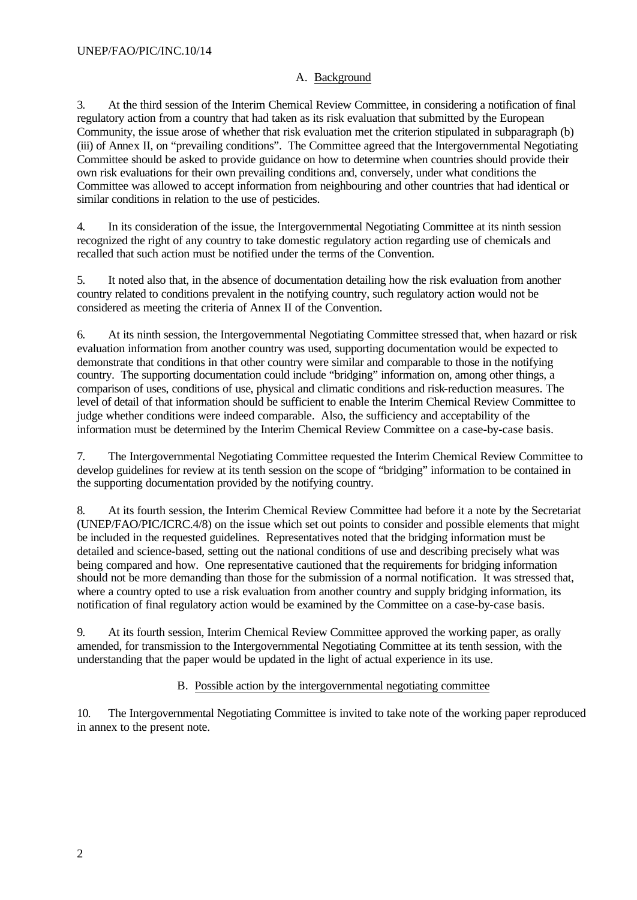### A. Background

3. At the third session of the Interim Chemical Review Committee, in considering a notification of final regulatory action from a country that had taken as its risk evaluation that submitted by the European Community, the issue arose of whether that risk evaluation met the criterion stipulated in subparagraph (b) (iii) of Annex II, on "prevailing conditions". The Committee agreed that the Intergovernmental Negotiating Committee should be asked to provide guidance on how to determine when countries should provide their own risk evaluations for their own prevailing conditions and, conversely, under what conditions the Committee was allowed to accept information from neighbouring and other countries that had identical or similar conditions in relation to the use of pesticides.

4. In its consideration of the issue, the Intergovernmental Negotiating Committee at its ninth session recognized the right of any country to take domestic regulatory action regarding use of chemicals and recalled that such action must be notified under the terms of the Convention.

5. It noted also that, in the absence of documentation detailing how the risk evaluation from another country related to conditions prevalent in the notifying country, such regulatory action would not be considered as meeting the criteria of Annex II of the Convention.

6. At its ninth session, the Intergovernmental Negotiating Committee stressed that, when hazard or risk evaluation information from another country was used, supporting documentation would be expected to demonstrate that conditions in that other country were similar and comparable to those in the notifying country. The supporting documentation could include "bridging" information on, among other things, a comparison of uses, conditions of use, physical and climatic conditions and risk-reduction measures. The level of detail of that information should be sufficient to enable the Interim Chemical Review Committee to judge whether conditions were indeed comparable. Also, the sufficiency and acceptability of the information must be determined by the Interim Chemical Review Committee on a case-by-case basis.

7. The Intergovernmental Negotiating Committee requested the Interim Chemical Review Committee to develop guidelines for review at its tenth session on the scope of "bridging" information to be contained in the supporting documentation provided by the notifying country.

8. At its fourth session, the Interim Chemical Review Committee had before it a note by the Secretariat (UNEP/FAO/PIC/ICRC.4/8) on the issue which set out points to consider and possible elements that might be included in the requested guidelines. Representatives noted that the bridging information must be detailed and science-based, setting out the national conditions of use and describing precisely what was being compared and how. One representative cautioned that the requirements for bridging information should not be more demanding than those for the submission of a normal notification. It was stressed that, where a country opted to use a risk evaluation from another country and supply bridging information, its notification of final regulatory action would be examined by the Committee on a case-by-case basis.

9. At its fourth session, Interim Chemical Review Committee approved the working paper, as orally amended, for transmission to the Intergovernmental Negotiating Committee at its tenth session, with the understanding that the paper would be updated in the light of actual experience in its use.

## B. Possible action by the intergovernmental negotiating committee

10. The Intergovernmental Negotiating Committee is invited to take note of the working paper reproduced in annex to the present note.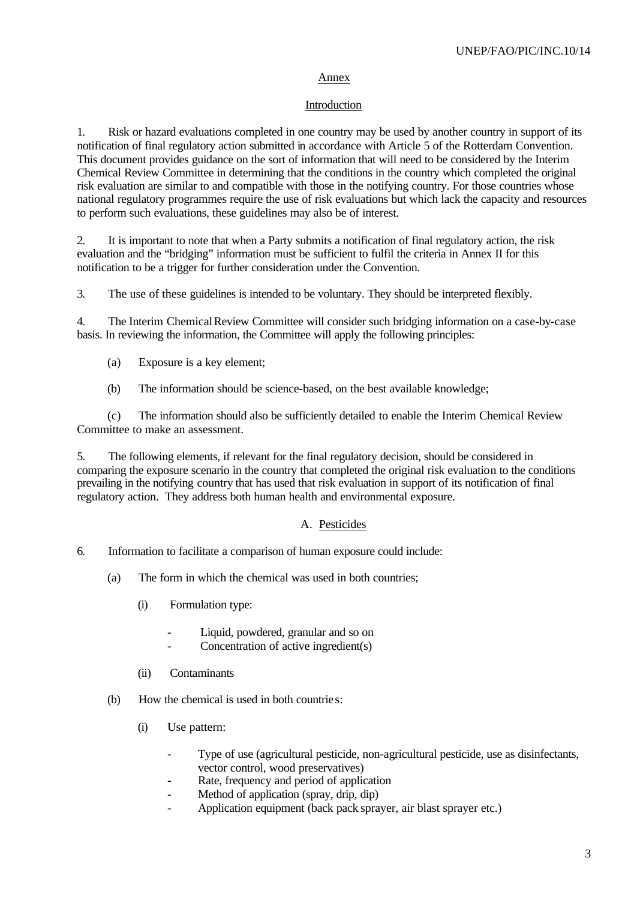#### Annex

#### Introduction

1. Risk or hazard evaluations completed in one country may be used by another country in support of its notification of final regulatory action submitted in accordance with Article 5 of the Rotterdam Convention. This document provides guidance on the sort of information that will need to be considered by the Interim Chemical Review Committee in determining that the conditions in the country which completed the original risk evaluation are similar to and compatible with those in the notifying country. For those countries whose national regulatory programmes require the use of risk evaluations but which lack the capacity and resources to perform such evaluations, these guidelines may also be of interest.

2. It is important to note that when a Party submits a notification of final regulatory action, the risk evaluation and the "bridging" information must be sufficient to fulfil the criteria in Annex II for this notification to be a trigger for further consideration under the Convention.

3. The use of these guidelines is intended to be voluntary. They should be interpreted flexibly.

4. The Interim Chemical Review Committee will consider such bridging information on a case-by-case basis. In reviewing the information, the Committee will apply the following principles:

- (a) Exposure is a key element;
- (b) The information should be science-based, on the best available knowledge;

(c) The information should also be sufficiently detailed to enable the Interim Chemical Review Committee to make an assessment.

5. The following elements, if relevant for the final regulatory decision, should be considered in comparing the exposure scenario in the country that completed the original risk evaluation to the conditions prevailing in the notifying country that has used that risk evaluation in support of its notification of final regulatory action. They address both human health and environmental exposure.

### A. Pesticides

- 6. Information to facilitate a comparison of human exposure could include:
	- (a) The form in which the chemical was used in both countries;
		- (i) Formulation type:
			- Liquid, powdered, granular and so on
			- Concentration of active ingredient(s)
		- (ii) Contaminants
	- (b) How the chemical is used in both countries:
		- (i) Use pattern:
			- Type of use (agricultural pesticide, non-agricultural pesticide, use as disinfectants, vector control, wood preservatives)
			- Rate, frequency and period of application
			- Method of application (spray, drip, dip)
			- Application equipment (back pack sprayer, air blast sprayer etc.)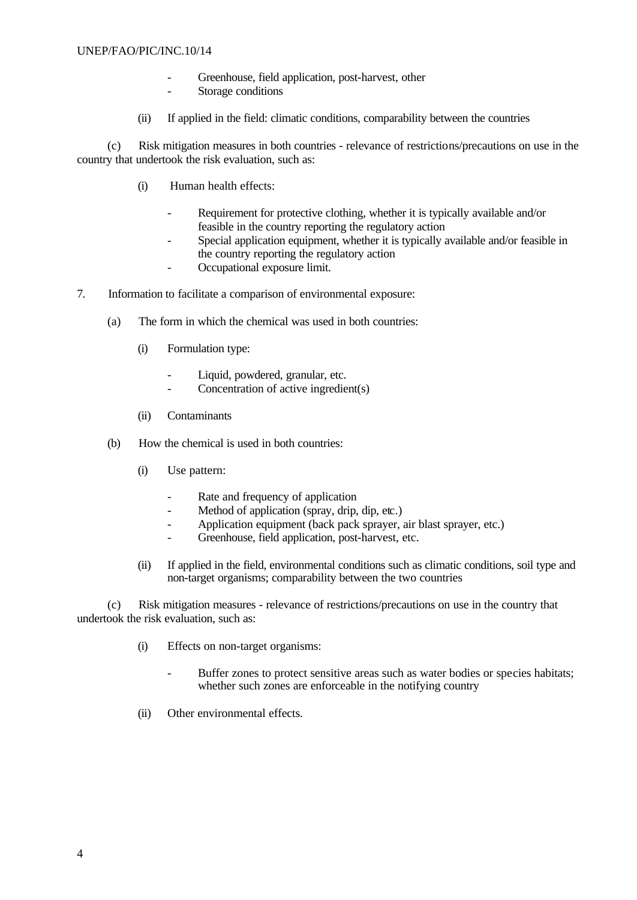#### UNEP/FAO/PIC/INC.10/14

- Greenhouse, field application, post-harvest, other
- Storage conditions
- (ii) If applied in the field: climatic conditions, comparability between the countries

(c) Risk mitigation measures in both countries - relevance of restrictions/precautions on use in the country that undertook the risk evaluation, such as:

- (i) Human health effects:
	- Requirement for protective clothing, whether it is typically available and/or feasible in the country reporting the regulatory action
	- Special application equipment, whether it is typically available and/or feasible in the country reporting the regulatory action
	- Occupational exposure limit.
- 7. Information to facilitate a comparison of environmental exposure:
	- (a) The form in which the chemical was used in both countries:
		- (i) Formulation type:
			- Liquid, powdered, granular, etc.
			- Concentration of active ingredient(s)
		- (ii) Contaminants
	- (b) How the chemical is used in both countries:
		- (i) Use pattern:
			- Rate and frequency of application
			- Method of application (spray, drip, dip, etc.)
			- Application equipment (back pack sprayer, air blast sprayer, etc.)
			- Greenhouse, field application, post-harvest, etc.
		- (ii) If applied in the field, environmental conditions such as climatic conditions, soil type and non-target organisms; comparability between the two countries

(c) Risk mitigation measures - relevance of restrictions/precautions on use in the country that undertook the risk evaluation, such as:

- (i) Effects on non-target organisms:
	- Buffer zones to protect sensitive areas such as water bodies or species habitats; whether such zones are enforceable in the notifying country
- (ii) Other environmental effects.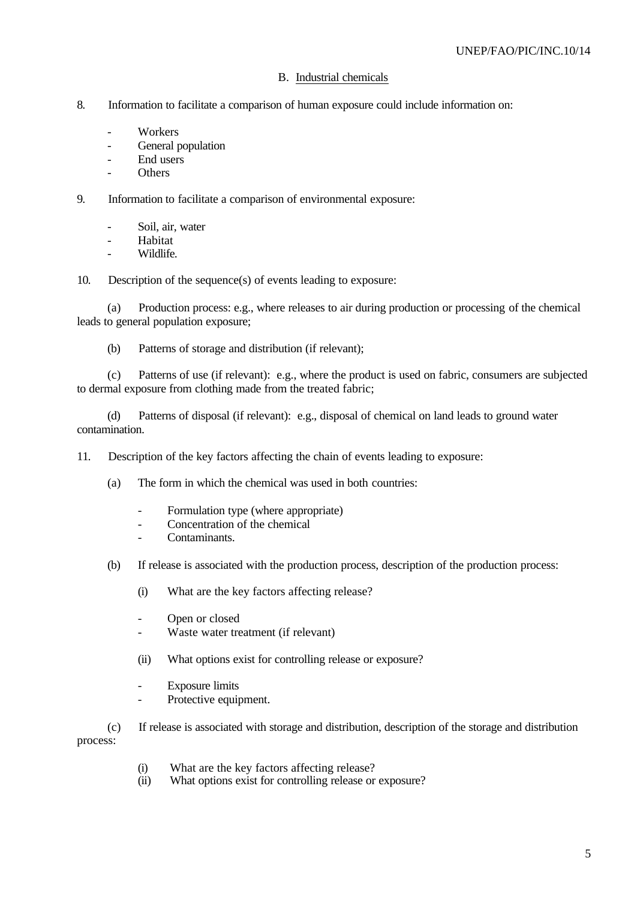#### B. Industrial chemicals

- 8. Information to facilitate a comparison of human exposure could include information on:
	- **Workers**
	- General population
	- End users
	- **Others**
- 9. Information to facilitate a comparison of environmental exposure:
	- Soil, air, water
	- Habitat
	- Wildlife.

10. Description of the sequence(s) of events leading to exposure:

(a) Production process: e.g., where releases to air during production or processing of the chemical leads to general population exposure;

(b) Patterns of storage and distribution (if relevant);

(c) Patterns of use (if relevant): e.g., where the product is used on fabric, consumers are subjected to dermal exposure from clothing made from the treated fabric;

(d) Patterns of disposal (if relevant): e.g., disposal of chemical on land leads to ground water contamination.

11. Description of the key factors affecting the chain of events leading to exposure:

- (a) The form in which the chemical was used in both countries:
	- Formulation type (where appropriate)
	- Concentration of the chemical
	- Contaminants.
- (b) If release is associated with the production process, description of the production process:
	- (i) What are the key factors affecting release?
	- Open or closed
	- Waste water treatment (if relevant)
	- (ii) What options exist for controlling release or exposure?
	- Exposure limits
	- Protective equipment.

(c) If release is associated with storage and distribution, description of the storage and distribution process:

- (i) What are the key factors affecting release?
- (ii) What options exist for controlling release or exposure?